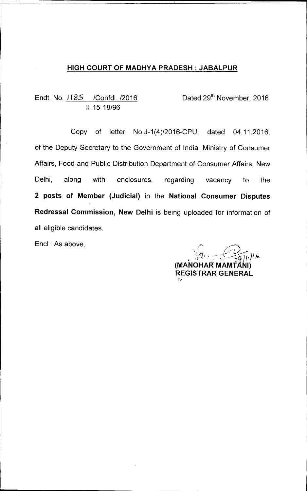## **HIGH COURT OF MADHYA PRADESH : JABALPUR**

Endt. No. 1185 / Confdl. /2016 Dated 29<sup>th</sup> November, 2016 11-15-18/96

Copy of letter No.J-1(4)/2016-CPU, dated 04.11.2016, of the Deputy Secretary to the Government of India, Ministry of Consumer Affairs, Food and Public Distribution Department of Consumer Affairs, New Delhi, along with enclosures, regarding vacancy to the **2 posts of Member (Judicial)** in the **National Consumer Disputes Redressal Commission, New Delhi** is being uploaded for information of all eligible candidates.

Encl : As above.

 $\frac{1}{2}g(h)/k$ **(MA.NOHAR MAMtANi) REGISTRAR GENERAL**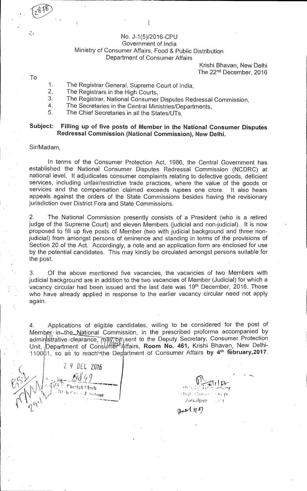#### No. J-1(5)/2016-CPU Government of India Ministry of Consumer Affairs, Food & Public Distribution Department of Consumer Affairs

Krishi Bhavan, New Delhi The 22<sup>nd</sup> December, 2016

To

- 1. The Registrar General, Supreme Court of India,<br>2. The Registrars in the High Courts
- 2. The Registrars in the High Courts,<br>3. The Registrar National Consumer
- 3. The Registrar, National Consumer Disputes Redressal Commission,<br>4. The Secretaries in the Central Ministries/Departments
- 4. The Secretaries in the Central Ministries/Departments,<br>5. The Chief Secretaries in all the States/LITs
- The Chief Secretaries in all the States/UTs.

### **Subject: Filling up of five posts of Member in the National Consumer Disputes Redressal Commission (National Commission), New Delhi.**

#### Sir/Madam,

In terms of the Consumer Protection Act, 1986, the Central Government has established the National Consumer Disputes Redressal Commission (NCDRC) at national level. It adjudicates consumer complaints relating to defective goods, deficient services, including unfair/restrictive trade practices, where the value of the goods or services and the compensation claimed exceeds rupees one crore. It also hears appeals against the orders of the State Commissions besides having the revisionary jurisdiction over District Fora and State Commissions.

2. The National Commission presently consists of a President (who is a retired judge of the Supreme Court) and eleven Members (judicial and non-judicial). It is now proposed to fill up five posts of Member (two with judicial background and three nonjudicial) from amongst persons of eminence and standing in terms of the provisions of Section 20 of the Act. Accordingly, a note and an application form are enclosed for use by the potential candidates. This may kindly be circulated amongst persons suitable for the post.

3. Of the above mentioned five vacancies, the vacancies of two Members with judicial background are in addition to the two vacancies of Member (Judicial) for which a vacancy circular had been issued and the last date was 19<sup>th</sup> December, 2016. Those who have already applied in response to the earlier vacancy circular need not apply again.

4. Applications of eligible candidates, willing to be considered for the post of Member in the National Commission, in the prescribed proforma accompanied by administrative clearance, may be sent to the Deputy Secretary, Consumer Protection 1 1 r 44:Kt- - <sup>I</sup>. Unit, /Department of Consurfi r Affairs, **Room No. 461,** Krishi• Bhavan, New Delhi-21th, Bepartment of Schodmer million, its can be the morning of the february, 2017.

I 2 9 DEC 2016 , *Poorist Clork* '11 holmne<sup>1</sup>

<sup>f</sup>tf r lig<br>C great 1987

1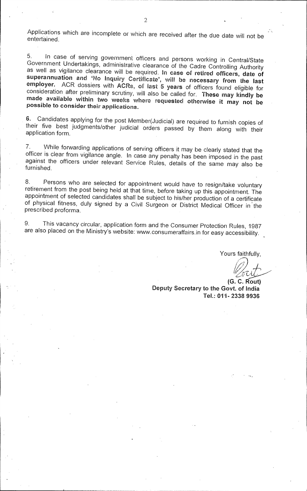Applications which are incomplete or which are received after the due date will not be entertained.

5. In case of serving government officers and persons working in Central/State Government Undertakings, administrative clearance of the Cadre Controlling Authority as well as vigilance clearance will be required. In case of retired officers, date of superannuation and 'No Inquiry Certificate', will be necessary from the last employer. ACR dossiers with ACRs, of last 5 years of officers found eligible for consideration after preliminary scrutiny, will also be called for. These may kindly be made available within two weeks where requested otherwise it may not be possible to consider their applications.

6. Candidates applying for the post Member(Judicial) are required to furnish copies of their five best judgments/other judicial orders passed by them along with their application form.

7. While forwarding applications of serving officers it may be clearly stated that the officer is clear from vigilance angle. In case any penalty has been imposed in the past against the officers under relevant Service Rules, details of the same may also be furnished.

8. Persons who are selected for appointment would have to resign/take voluntary retirement from the post being held at that time, before taking up this appointment. The appointment of selected candidates shall be subject to his/her production of a certificate of physical fitness, duly signed by a Civil Surgeon or District Medical Officer in the prescribed proforma.

9. This vacancy circular, application form and the Consumer Protection Rules, 1987 are also placed on the Ministry's website: www.consumeraffairs.in for easy accessibility.

Yours faithfully,

(G. C. Rout) Deputy Secretary to the Govt. of India Tel.: 011- 2338 9936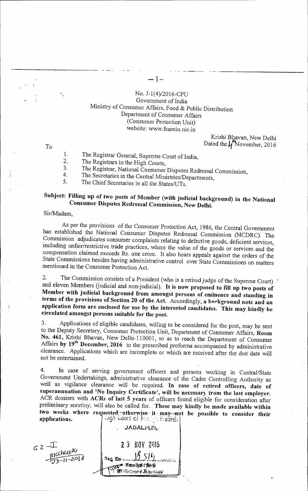### No. J-1(4)/2016-CPU Government of India Ministry of Consumer Affairs, Food & Public Distribution Department of Consumer Affairs (Consumer Protection Unit) website: www.fcamin.nic.in

 $\mathbf{I}$  –

Krishi Bhavan, New Delhi Dated the  $\mu^*$ November, 2016

To

1. The Registrar General, Supreme Court of India,<br>2. The Registrars in the High Courts

2. The Registrars in the High Courts,<br>3. The Registrar National Congument

3. The Registrar, National Consumer Disputes Redressal Commission,<br>4. The Secretaries in the Central Ministrias Departure to

4. The Secretaries in the Central Ministries/Departments,<br>5. The Chief Secretaries in all the States/LITs.

The Chief Secretaries in all the States/UTs.

# **Subject: Filling up of two posts of Member (with judicial background) in the National Consumer Disputes Redressal Commission, New Delhi.**

Sir/Madam.

As per the provisions of the Consumer Protection Act, 1986, the Central Government has established the National Consumer Disputes Redressal Commission (NCDRC). The Commission adjudicates consumer complaints relating to defective goods, deficient services, including unfair/restrictive trade practices, where the value of the goods or services and the compensation claimed exceeds Rs. one crore. It also hears appeals against the orders of the State Commissions besides having administrative control over State Commissions on matters mentioned in the Consumer Protection Act.

2. The Commission consists of a President (who is a retired judge of the Supreme Court) and eleven Members (judicial and non-judicial). **It is now proposed to fill up two posts of Member with judicial background from amongst persons of eminence and standing in**  terms of the provisions of Section 20 of the Act. Accordingly, a background note and an **application form are enclosed for use by the interested candidates. This may kindly be circulated amongst persons suitable for the post.** 

3. Applications of eligible candidates, willing to be considered for the post, may be sent to the Deputy Secretary, Consumer Protection Unit, Department of Consumer Affairs, Room No. 461, Krishi Bhavan, New Delhi-110001, so as to reach the Department of Consumer Affairs by 19<sup>th</sup> December, 2016 in the prescribed proforma accompanied by administrative clearance. Applications which are incomplete or which are received after the due date will not be entertained.

4. In case of serving government officers and persons working in Central/State Government Undertakings, administrative clearance of the Cadre Controlling Authority as well as vigilance clearance will be required. **In case of retired officers, date of superannuation and 'No Inquiry Certificate', will be necessary from the last employer.**  ACR dossiers with **ACRs of last 5 years** of officers found eligible for consideration after preliminary scrutiny, will also be called for. **These may kindly be made available within**  two weeks where requested otherwise it may not be possible to consider their applications. **Lourt Ci Marigh Pradesh** 

**JABALPURI**  $GZ - L$ <br>RKSHULLY **23 HOV 2916**  $18.514$ Red No ..... obbb iver manner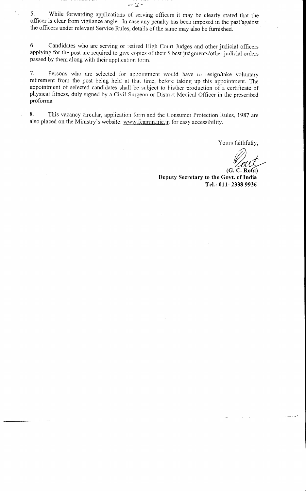5. While forwarding applications of serving officers it may be clearly stated that the officer is clear from vigilance angle. In case any penalty has been imposed in the past'against the officers under relevant Service Rules, details of the same may also be furnished.

 $-2-$ 

6. Candidates who are serving or retired High Court Judges and other judicial officers applying for the post are required to give copies of their 5 best judgments/other judicial orders passed by them along with their application form.

7. Persons who are selected for appointment would have to resign/take voluntary retirement from the post being held at that time, before taking up this appointment. The appointment of selected candidates shall be subject to his/her production of a certificate of physical fitness, duly signed by a Civil Surgeon or District Medical Officer in the prescribed proforma.

8. This vacancy circular, application form and the Consumer Protection Rules, 1987 are also placed on the Ministry's website: www.fcamin.nic.in for easy accessibility.

Yours faithfully,

**(G. C. Ro6) Deputy Secretary to the Govt. of India Tel.: 011- 2338 9936**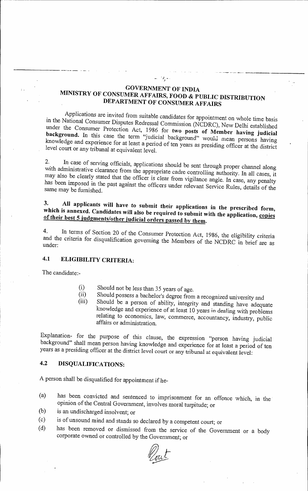## **GOVERNMENT OF INDIA MINISTRY OF CONSUMER AFFAIRS, FOOD & PUBLIC DISTRIBUTION DEPARTMENT OF CONSUMER AFFAIRS**

 $\mathcal{D}_{\mathbf{y}}$  .

Applications are invited from suitable candidates for appointment on whole time basis in the National Consumer Disputes Redressal Commission (NCDRC), New Delhi established under the Consumer Protection Act, 1986 for two posts of Member having judicial under the Consumer Protection Act, 1986 for **two posts of Member having judicial background.** In this case the term "judicial background" would mean persons having knowledge and experience for at least a period of ten years as presiding officer at the district level court or any tribunal at equivalent level.

2. In case of serving officials, applications should be sent through proper channel along with administrative clearance from the appropriate cadre controlling authority. In all cases, it may also be clearly stated that the officer is clear from vigilance angle. In case, any penalty has been imposed in the past against the officers under relevant Service Rules, details of the same may be furnished.

## **3. All applicants will have to submit their applications in the prescribed form,**  which is annexed. Candidates will also be required to submit with the application, copies **of their best 5 judgments/other judicial orders passed by them.**

**4.** In terms of Section 20 of the Consumer Protection Act, 1986, the eligibility criteria and the criteria for disqualification governing the Members of the NCDRC in brief are as under:

## **4.1 ELIGIBILITY CRITERIA:**

The candidate:-

- (i) Should not be less than 35 years of age.<br>(ii) Should possess a bachelor's degree from
- (ii) Should possess a bachelor's degree from a recognized university and (iii) Should be a person of ability integrity and standing have all
- Should be a person of ability, integrity and standing have adequate knowledge and experience of at least 10 years in dealing with problems relating to economics, law, commerce, accountancy, industry, public affairs or administration.

Explanation- for the purpose of this clause, the expression "person having judicial background" shall mean person having knowledge and experience for at least a period of ten years as a presiding officer at the district level court or any tribunal at equivalent level:

## **4.2 DISQUALIFICATIONS:**

A person shall be disqualified for appointment if he-

- (a) has been convicted and sentenced to imprisonment for an offence which, in the opinion of the Central Government, involves moral turpitude; or
- (b) is an undischarged insolvent; or
- is of unsound mind and stands so declared by a competent court; or (c)
- (d) has been removed or dismissed from the service of the Government or a body corporate owned or controlled by the Government; or

/<br>sul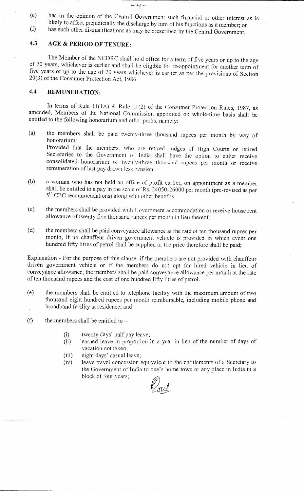(e) has in the opinion of the Central Government such financial or other interest as is likely to affect prejudicially the discharge by him of his functions as a member; or (f) has such other disqualifications as may be prescribed by the Central Government.

- 4 -

### **4.3 AGE & PERIOD OF TENURE:**

The Member of the NCDRC shall hold office for a term of five years or up to the age of 70 years, whichever is earlier and shall be eligible for re-appointment for another term of five years or up to the age of 70 years whichever is earlier as per the provisions of Section 20(3) of the Consumer Protection Act, 1986.

### **4.4 REMUNERATION:**

In terms of Rule 11(1A) & Rule 11(2) of the Consumer Protection Rules, 1987, as amended, Members of the National Commission appointed on whole-time basis shall be entitled to the following honorarium and other perks, namely:

- (a) the members shall be paid twenty-three thousand rupees per month by way of honorarium: Provided that the members, who are retired Judges of High Courts or retired Secretaries to the Government of India shall have the option to either receive consolidated honorarium of twenty-three thousand rupees per month or receive remuneration of last pay drawn less pension;
- (b) a woman who has not held an office of profit earlier, on appointment as a member shall be entitled to a pay in the scale of Rs. 24050-26000 per month (pre-revised as per 5<sup>th</sup> CPC recommendations) along with other benefits;
- (c) the members shall be provided with Government accommodation or receive house rent allowance of twenty five thousand rupees per month in lieu thereof;
- (d) the members shall be paid conveyance allowance at the rate ot ten thousand rupees per month, if no chauffeur driven government vehicle is provided in which event one hundred fifty litres of petrol shall be supplied or the price therefore shall be paid;

Explanation - For the purpose of this clause, if the members are not provided with chauffeur driven government vehicle or if the members do not opt for hired vehicle in lieu of conveyance allowance, the members shall be paid conveyance allowance per month at the rate of ten thousand rupees and the cost of one hundred fifty litres of petrol.

- (e) the members shall be entitled to telephone facility with the maximum amount of two thousand eight hundred rupees per month reimbursable, including mobile phone and broadband facility at residence; and
- (f) the members shall be entitled to  $-$ 
	- (i) twenty days' half pay leave;<br>(ii) earned leave in proportion i
	- earned leave in proportion in a year in lieu of the number of days of vacation not taken;
	- (iii) eight days' casual leave;
	- (iv) leave travel concession equivalent to the entitlements of a Secretary to the Government of India to one's home town or any place in India in a block of four years;

Vout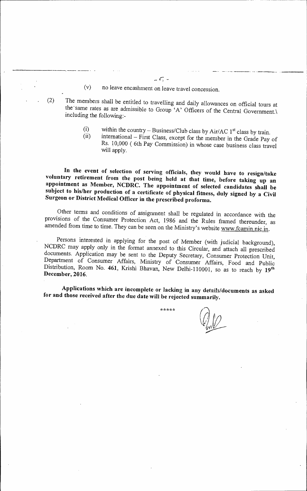- (v) no leave encashment on leave travel concession.
- (2) The members shall be entitled to travelling and daily allowances on official tours at the same rates as are admissible to Group 'A' Officers of the Central Government. including the following:
	- within the country Business/Club class by Air/AC  $1<sup>st</sup>$  class by train.  $(i)$
	- international First Class, except for the member in the Grade Pay of  $(ii)$ Rs. 10,000 ( 6th Pay Commission) in whose case business class travel will apply.

In the event of selection of serving officials, they would have to resign/take voluntary retirement from the post being held at that time, before taking up an appointment as Member, NCDRC. The appointment of selected candidates shall be subject to his/her production of a certificate of physical fitness, duly signed by a Civil Surgeon or District Medical Officer in the prescribed proforma.

Other terms and conditions of assignment shall be regulated in accordance with the provisions of the Consumer Protection Act, 1986 and the Rules framed thereunder, as amended from time to time. They can be seen on the Ministry's website www.fcamin.nic.in.

Persons interested in applying for the post of Member (with judicial background), NCDRC may apply only in the format annexed to this Circular, and attach all prescribed documents. Application may be sent to the Deputy Secretary, Consumer Protection Unit, Department of Consumer Affairs, Ministry of Consumer Affairs, Food and Public Distribution, Room No. 461, Krishi Bhavan, New Delhi-110001, so as to reach by 19<sup>th</sup><br>December, 2016.

Applications which are incomplete or lacking in any details/documents as asked for and those received after the due date will be rejected summarily.

\*\*\*\*\*

 $-7-$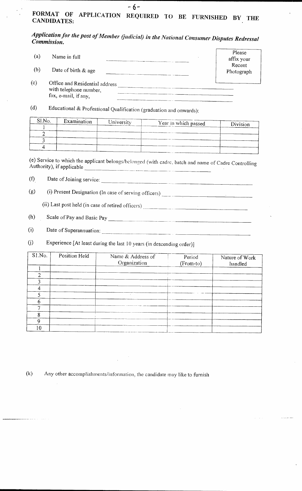## FORMAT OF APPLICATION REQUIRED TO BE FURNISHED BY THE CANDIDATES:

-6-

## *Application for the post of Member Gudicial) in the National Consumer Disputes Redressal Commission.*

| (a) | Name in full                                                                     | Please<br>affix your |
|-----|----------------------------------------------------------------------------------|----------------------|
| (b) | Date of birth $\&$ age                                                           | Recent<br>Photograph |
| (c) | Office and Residential address<br>with telephone number,<br>fax, e-mail, if any, |                      |

(d) Educational & Professional Qualification (graduation and onwards):

| Examination | University | Division             |
|-------------|------------|----------------------|
|             |            |                      |
|             |            |                      |
|             |            |                      |
|             |            |                      |
|             |            | Year in which passed |

(e) Service to which the applicant belongs/belonged (with cadre, batch and name of Cadre Controlling Authority), if applicable 

(f) Date of Joining service:  $\frac{1}{2}$  Date of Joining service:

(g) (i) Present Designation (In case of serving officers)

(ii) Last post held (in case of retired officers)

Scale of Pay and Basic Pay  $(h)$ 

Date of Superannuation:  $(i)$ 

 $(j)$ Experience [At least during the last 10 years (in descending order)]

| S1.No. | Position Held | Name & Address of<br>Organization | Period<br>(From-to) | Nature of Work<br>handled |
|--------|---------------|-----------------------------------|---------------------|---------------------------|
|        |               |                                   |                     |                           |
| ◠      |               |                                   |                     |                           |
|        |               |                                   |                     |                           |
|        |               |                                   |                     |                           |
|        |               |                                   |                     |                           |
| 6      |               |                                   |                     |                           |
|        |               |                                   |                     |                           |
|        |               |                                   |                     |                           |
| Q      |               |                                   |                     |                           |
| 10     |               |                                   |                     |                           |

(k) Any other accomplishments/information, the candidate may like to furnish